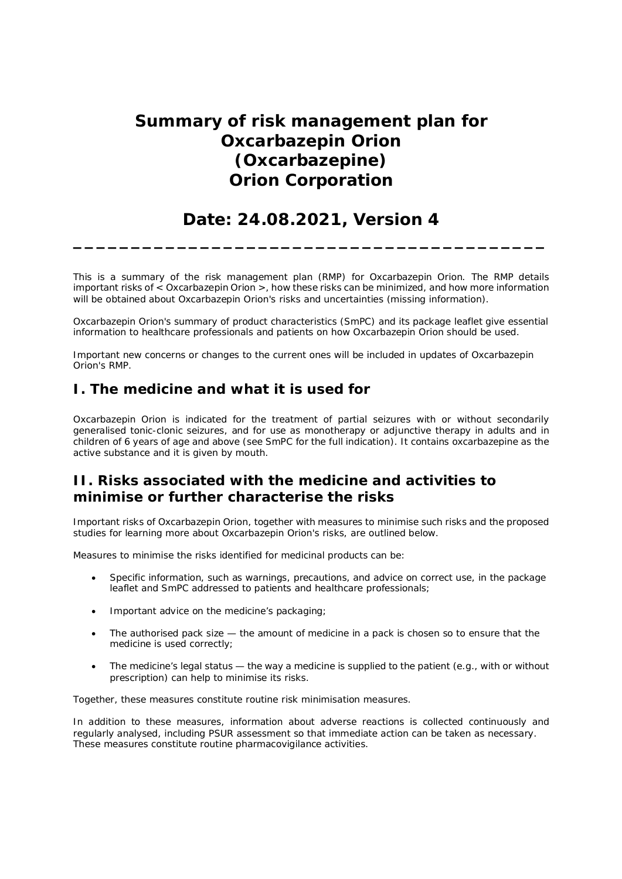# **Summary of risk management plan for Oxcarbazepin Orion (Oxcarbazepine) Orion Corporation**

## **Date: 24.08.2021, Version 4**

**\_\_\_\_\_\_\_\_\_\_\_\_\_\_\_\_\_\_\_\_\_\_\_\_\_\_\_\_\_\_\_\_\_\_\_\_\_\_\_\_\_**

This is a summary of the risk management plan (RMP) for Oxcarbazepin Orion. The RMP details important risks of < Oxcarbazepin Orion >, how these risks can be minimized, and how more information will be obtained about Oxcarbazepin Orion's risks and uncertainties (missing information).

Oxcarbazepin Orion's summary of product characteristics (SmPC) and its package leaflet give essential information to healthcare professionals and patients on how Oxcarbazepin Orion should be used.

Important new concerns or changes to the current ones will be included in updates of Oxcarbazepin Orion's RMP.

### **I. The medicine and what it is used for**

Oxcarbazepin Orion is indicated for the treatment of partial seizures with or without secondarily generalised tonic-clonic seizures, and for use as monotherapy or adjunctive therapy in adults and in children of 6 years of age and above (see SmPC for the full indication). It contains oxcarbazepine as the active substance and it is given by mouth.

## **II. Risks associated with the medicine and activities to minimise or further characterise the risks**

Important risks of Oxcarbazepin Orion, together with measures to minimise such risks and the proposed studies for learning more about Oxcarbazepin Orion's risks, are outlined below.

Measures to minimise the risks identified for medicinal products can be:

- Specific information, such as warnings, precautions, and advice on correct use, in the package leaflet and SmPC addressed to patients and healthcare professionals;
- Important advice on the medicine's packaging;
- The authorised pack size  $-$  the amount of medicine in a pack is chosen so to ensure that the medicine is used correctly;
- The medicine's legal status the way a medicine is supplied to the patient (e.g., with or without prescription) can help to minimise its risks.

Together, these measures constitute routine risk minimisation measures.

In addition to these measures, information about adverse reactions is collected continuously and regularly analysed, including PSUR assessment so that immediate action can be taken as necessary. These measures constitute *routine pharmacovigilance activities*.